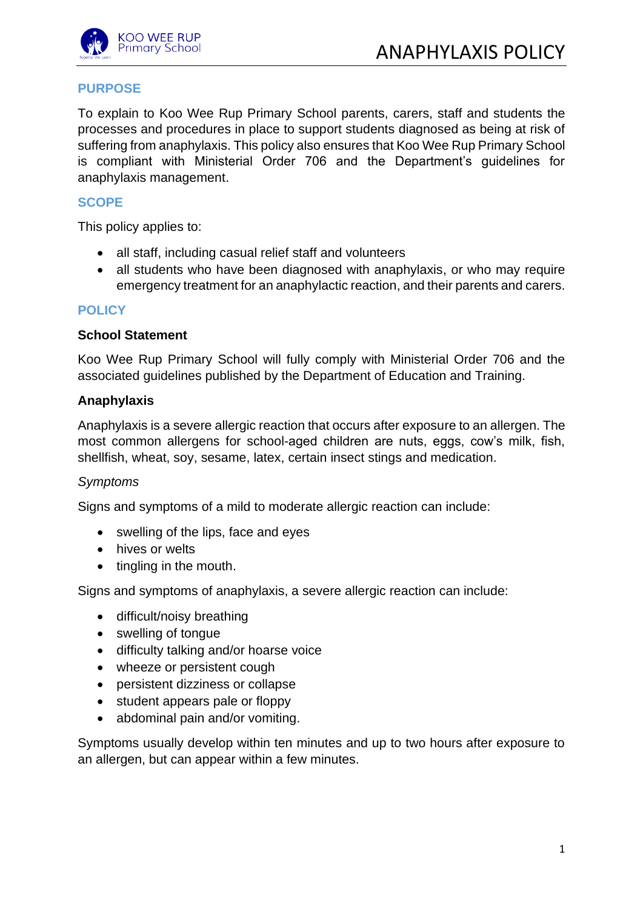

# **PURPOSE**

To explain to Koo Wee Rup Primary School parents, carers, staff and students the processes and procedures in place to support students diagnosed as being at risk of suffering from anaphylaxis. This policy also ensures that Koo Wee Rup Primary School is compliant with Ministerial Order 706 and the Department's guidelines for anaphylaxis management.

### **SCOPE**

This policy applies to:

- all staff, including casual relief staff and volunteers
- all students who have been diagnosed with anaphylaxis, or who may require emergency treatment for an anaphylactic reaction, and their parents and carers.

### **POLICY**

#### **School Statement**

Koo Wee Rup Primary School will fully comply with Ministerial Order 706 and the associated guidelines published by the Department of Education and Training.

### **Anaphylaxis**

Anaphylaxis is a severe allergic reaction that occurs after exposure to an allergen. The most common allergens for school-aged children are nuts, eggs, cow's milk, fish, shellfish, wheat, soy, sesame, latex, certain insect stings and medication.

#### *Symptoms*

Signs and symptoms of a mild to moderate allergic reaction can include:

- swelling of the lips, face and eyes
- hives or welts
- tingling in the mouth.

Signs and symptoms of anaphylaxis, a severe allergic reaction can include:

- difficult/noisy breathing
- swelling of tongue
- difficulty talking and/or hoarse voice
- wheeze or persistent cough
- persistent dizziness or collapse
- student appears pale or floppy
- abdominal pain and/or vomiting.

Symptoms usually develop within ten minutes and up to two hours after exposure to an allergen, but can appear within a few minutes.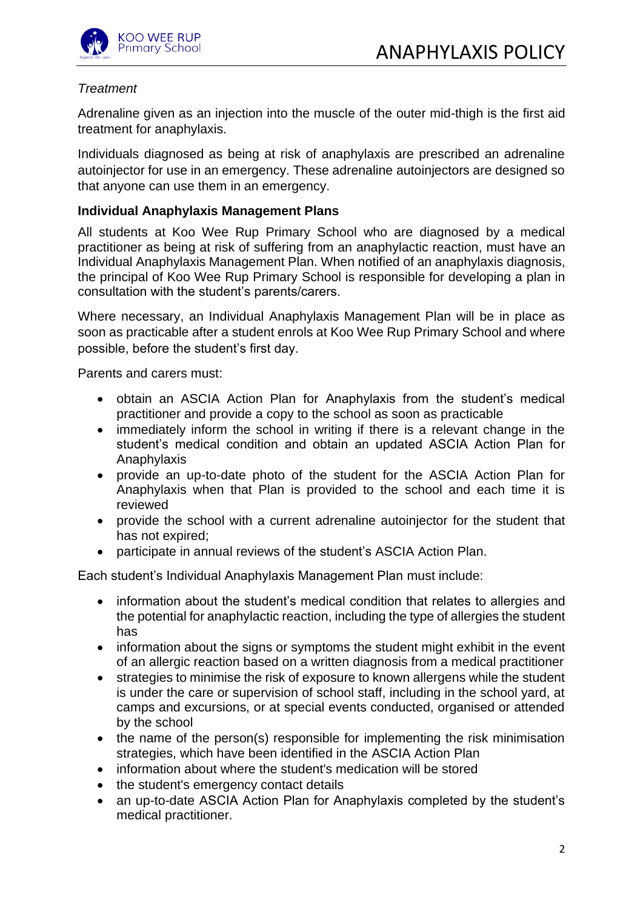

# *Treatment*

Adrenaline given as an injection into the muscle of the outer mid-thigh is the first aid treatment for anaphylaxis.

Individuals diagnosed as being at risk of anaphylaxis are prescribed an adrenaline autoinjector for use in an emergency. These adrenaline autoinjectors are designed so that anyone can use them in an emergency.

### **Individual Anaphylaxis Management Plans**

All students at Koo Wee Rup Primary School who are diagnosed by a medical practitioner as being at risk of suffering from an anaphylactic reaction, must have an Individual Anaphylaxis Management Plan. When notified of an anaphylaxis diagnosis, the principal of Koo Wee Rup Primary School is responsible for developing a plan in consultation with the student's parents/carers.

Where necessary, an Individual Anaphylaxis Management Plan will be in place as soon as practicable after a student enrols at Koo Wee Rup Primary School and where possible, before the student's first day.

Parents and carers must:

- obtain an ASCIA Action Plan for Anaphylaxis from the student's medical practitioner and provide a copy to the school as soon as practicable
- immediately inform the school in writing if there is a relevant change in the student's medical condition and obtain an updated ASCIA Action Plan for Anaphylaxis
- provide an up-to-date photo of the student for the ASCIA Action Plan for Anaphylaxis when that Plan is provided to the school and each time it is reviewed
- provide the school with a current adrenaline autoinjector for the student that has not expired;
- participate in annual reviews of the student's ASCIA Action Plan.

Each student's Individual Anaphylaxis Management Plan must include:

- information about the student's medical condition that relates to allergies and the potential for anaphylactic reaction, including the type of allergies the student has
- information about the signs or symptoms the student might exhibit in the event of an allergic reaction based on a written diagnosis from a medical practitioner
- strategies to minimise the risk of exposure to known allergens while the student is under the care or supervision of school staff, including in the school yard, at camps and excursions, or at special events conducted, organised or attended by the school
- the name of the person(s) responsible for implementing the risk minimisation strategies, which have been identified in the ASCIA Action Plan
- information about where the student's medication will be stored
- the student's emergency contact details
- an up-to-date ASCIA Action Plan for Anaphylaxis completed by the student's medical practitioner.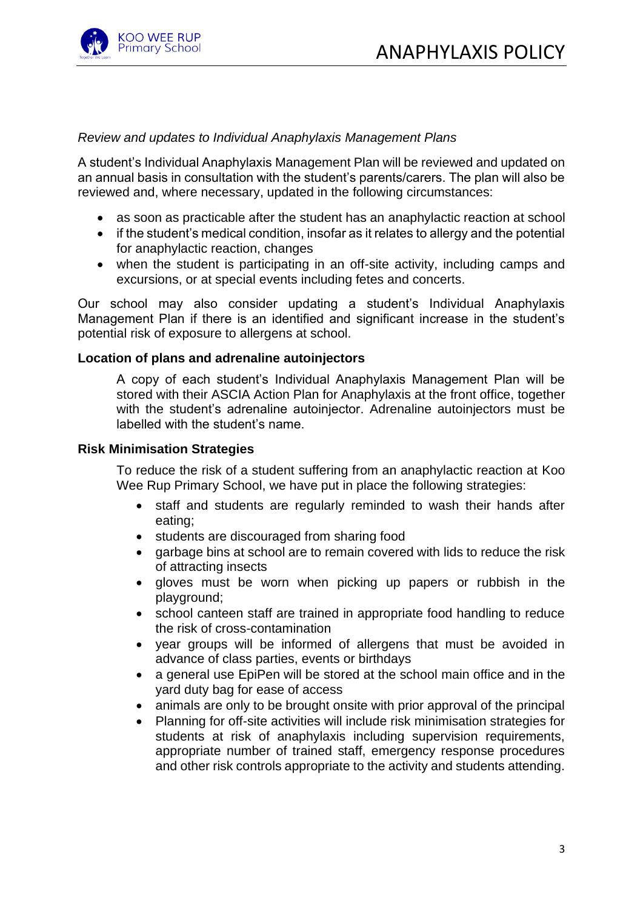

## *Review and updates to Individual Anaphylaxis Management Plans*

A student's Individual Anaphylaxis Management Plan will be reviewed and updated on an annual basis in consultation with the student's parents/carers. The plan will also be reviewed and, where necessary, updated in the following circumstances:

- as soon as practicable after the student has an anaphylactic reaction at school
- if the student's medical condition, insofar as it relates to allergy and the potential for anaphylactic reaction, changes
- when the student is participating in an off-site activity, including camps and excursions, or at special events including fetes and concerts.

Our school may also consider updating a student's Individual Anaphylaxis Management Plan if there is an identified and significant increase in the student's potential risk of exposure to allergens at school.

#### **Location of plans and adrenaline autoinjectors**

A copy of each student's Individual Anaphylaxis Management Plan will be stored with their ASCIA Action Plan for Anaphylaxis at the front office, together with the student's adrenaline autoinjector. Adrenaline autoinjectors must be labelled with the student's name.

#### **Risk Minimisation Strategies**

To reduce the risk of a student suffering from an anaphylactic reaction at Koo Wee Rup Primary School, we have put in place the following strategies:

- staff and students are regularly reminded to wash their hands after eating;
- students are discouraged from sharing food
- garbage bins at school are to remain covered with lids to reduce the risk of attracting insects
- gloves must be worn when picking up papers or rubbish in the playground;
- school canteen staff are trained in appropriate food handling to reduce the risk of cross-contamination
- year groups will be informed of allergens that must be avoided in advance of class parties, events or birthdays
- a general use EpiPen will be stored at the school main office and in the yard duty bag for ease of access
- animals are only to be brought onsite with prior approval of the principal
- Planning for off-site activities will include risk minimisation strategies for students at risk of anaphylaxis including supervision requirements, appropriate number of trained staff, emergency response procedures and other risk controls appropriate to the activity and students attending.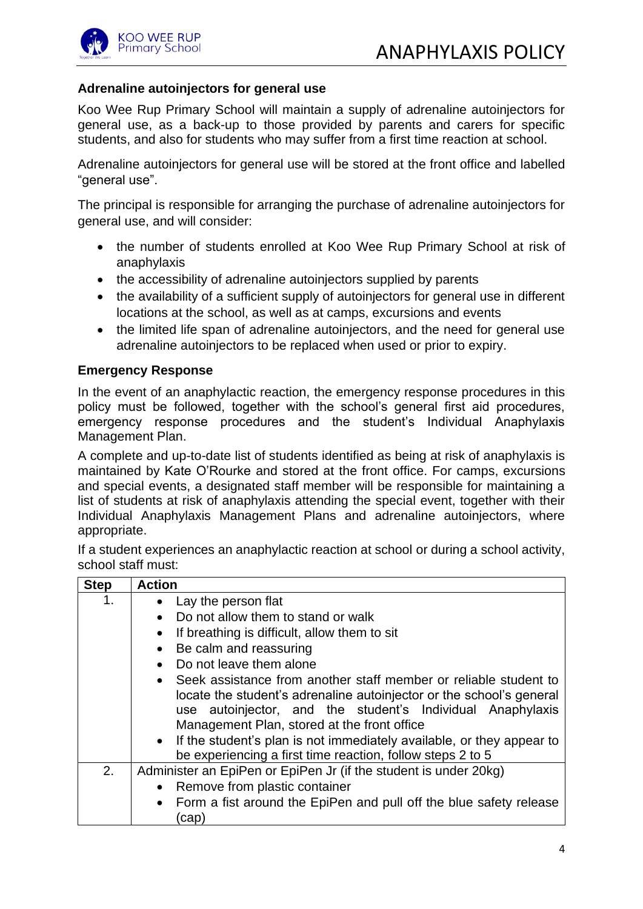

# **Adrenaline autoinjectors for general use**

Koo Wee Rup Primary School will maintain a supply of adrenaline autoinjectors for general use, as a back-up to those provided by parents and carers for specific students, and also for students who may suffer from a first time reaction at school.

Adrenaline autoinjectors for general use will be stored at the front office and labelled "general use".

The principal is responsible for arranging the purchase of adrenaline autoinjectors for general use, and will consider:

- the number of students enrolled at Koo Wee Rup Primary School at risk of anaphylaxis
- the accessibility of adrenaline autoinjectors supplied by parents
- the availability of a sufficient supply of autoinjectors for general use in different locations at the school, as well as at camps, excursions and events
- the limited life span of adrenaline autoinjectors, and the need for general use adrenaline autoinjectors to be replaced when used or prior to expiry.

## **Emergency Response**

In the event of an anaphylactic reaction, the emergency response procedures in this policy must be followed, together with the school's general first aid procedures, emergency response procedures and the student's Individual Anaphylaxis Management Plan.

A complete and up-to-date list of students identified as being at risk of anaphylaxis is maintained by Kate O'Rourke and stored at the front office. For camps, excursions and special events, a designated staff member will be responsible for maintaining a list of students at risk of anaphylaxis attending the special event, together with their Individual Anaphylaxis Management Plans and adrenaline autoinjectors, where appropriate.

If a student experiences an anaphylactic reaction at school or during a school activity, school staff must:

| <b>Step</b> | <b>Action</b>                                                                                                                                                                                                                                                                                                                                                                                                  |
|-------------|----------------------------------------------------------------------------------------------------------------------------------------------------------------------------------------------------------------------------------------------------------------------------------------------------------------------------------------------------------------------------------------------------------------|
| 1.          | Lay the person flat<br>$\bullet$                                                                                                                                                                                                                                                                                                                                                                               |
|             | Do not allow them to stand or walk<br>$\bullet$                                                                                                                                                                                                                                                                                                                                                                |
|             | If breathing is difficult, allow them to sit<br>$\bullet$                                                                                                                                                                                                                                                                                                                                                      |
|             | Be calm and reassuring<br>$\bullet$                                                                                                                                                                                                                                                                                                                                                                            |
|             | Do not leave them alone                                                                                                                                                                                                                                                                                                                                                                                        |
|             | Seek assistance from another staff member or reliable student to<br>$\bullet$<br>locate the student's adrenaline autoinjector or the school's general<br>autoinjector, and the student's Individual Anaphylaxis<br>use<br>Management Plan, stored at the front office<br>• If the student's plan is not immediately available, or they appear to<br>be experiencing a first time reaction, follow steps 2 to 5 |
| 2.          | Administer an EpiPen or EpiPen Jr (if the student is under 20kg)                                                                                                                                                                                                                                                                                                                                               |
|             | Remove from plastic container                                                                                                                                                                                                                                                                                                                                                                                  |
|             | Form a fist around the EpiPen and pull off the blue safety release<br>$\bullet$<br>cap)                                                                                                                                                                                                                                                                                                                        |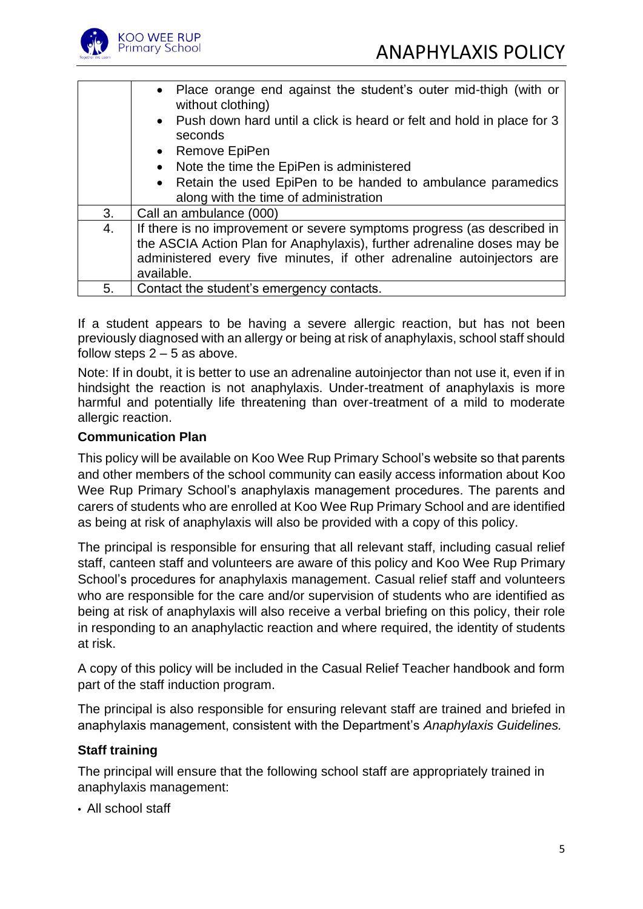

|    | • Place orange end against the student's outer mid-thigh (with or<br>without clothing) |
|----|----------------------------------------------------------------------------------------|
|    | • Push down hard until a click is heard or felt and hold in place for 3<br>seconds     |
|    | • Remove EpiPen                                                                        |
|    | Note the time the EpiPen is administered                                               |
|    | Retain the used EpiPen to be handed to ambulance paramedics                            |
|    | along with the time of administration                                                  |
| 3. | Call an ambulance (000)                                                                |
| 4. | If there is no improvement or severe symptoms progress (as described in                |
|    | the ASCIA Action Plan for Anaphylaxis), further adrenaline doses may be                |
|    | administered every five minutes, if other adrenaline autoinjectors are                 |
|    | available.                                                                             |
| 5. | Contact the student's emergency contacts.                                              |

If a student appears to be having a severe allergic reaction, but has not been previously diagnosed with an allergy or being at risk of anaphylaxis, school staff should follow steps  $2 - 5$  as above.

Note: If in doubt, it is better to use an adrenaline autoinjector than not use it, even if in hindsight the reaction is not anaphylaxis. Under-treatment of anaphylaxis is more harmful and potentially life threatening than over-treatment of a mild to moderate allergic reaction.

## **Communication Plan**

This policy will be available on Koo Wee Rup Primary School's website so that parents and other members of the school community can easily access information about Koo Wee Rup Primary School's anaphylaxis management procedures. The parents and carers of students who are enrolled at Koo Wee Rup Primary School and are identified as being at risk of anaphylaxis will also be provided with a copy of this policy.

The principal is responsible for ensuring that all relevant staff, including casual relief staff, canteen staff and volunteers are aware of this policy and Koo Wee Rup Primary School's procedures for anaphylaxis management. Casual relief staff and volunteers who are responsible for the care and/or supervision of students who are identified as being at risk of anaphylaxis will also receive a verbal briefing on this policy, their role in responding to an anaphylactic reaction and where required, the identity of students at risk.

A copy of this policy will be included in the Casual Relief Teacher handbook and form part of the staff induction program.

The principal is also responsible for ensuring relevant staff are trained and briefed in anaphylaxis management, consistent with the Department's *Anaphylaxis Guidelines.*

## **Staff training**

The principal will ensure that the following school staff are appropriately trained in anaphylaxis management:

• All school staff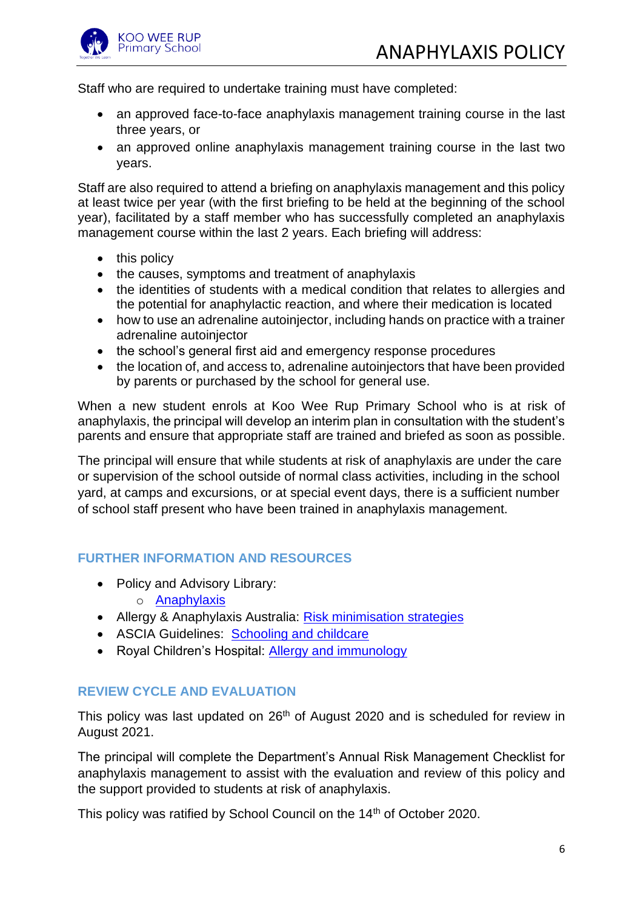

Staff who are required to undertake training must have completed:

- an approved face-to-face anaphylaxis management training course in the last three years, or
- an approved online anaphylaxis management training course in the last two years.

Staff are also required to attend a briefing on anaphylaxis management and this policy at least twice per year (with the first briefing to be held at the beginning of the school year), facilitated by a staff member who has successfully completed an anaphylaxis management course within the last 2 years. Each briefing will address:

- this policy
- the causes, symptoms and treatment of anaphylaxis
- the identities of students with a medical condition that relates to allergies and the potential for anaphylactic reaction, and where their medication is located
- how to use an adrenaline autoinjector, including hands on practice with a trainer adrenaline autoinjector
- the school's general first aid and emergency response procedures
- the location of, and access to, adrenaline autoiniectors that have been provided by parents or purchased by the school for general use.

When a new student enrols at Koo Wee Rup Primary School who is at risk of anaphylaxis, the principal will develop an interim plan in consultation with the student's parents and ensure that appropriate staff are trained and briefed as soon as possible.

The principal will ensure that while students at risk of anaphylaxis are under the care or supervision of the school outside of normal class activities, including in the school yard, at camps and excursions, or at special event days, there is a sufficient number of school staff present who have been trained in anaphylaxis management.

# **FURTHER INFORMATION AND RESOURCES**

- Policy and Advisory Library:
	- o [Anaphylaxis](https://www2.education.vic.gov.au/pal/anaphylaxis/policy)
- Allergy & Anaphylaxis Australia: [Risk minimisation strategies](https://edugate.eduweb.vic.gov.au/edulibrary/Schools/teachers/health/riskminimisation.pdf)
- ASCIA Guidelines: [Schooling and childcare](https://allergyfacts.org.au/allergy-management/schooling-childcare)
- Royal Children's Hospital: [Allergy and immunology](https://www.rch.org.au/allergy/about_us/Allergy_and_Immunology/)

# **REVIEW CYCLE AND EVALUATION**

This policy was last updated on 26<sup>th</sup> of August 2020 and is scheduled for review in August 2021.

The principal will complete the Department's Annual Risk Management Checklist for anaphylaxis management to assist with the evaluation and review of this policy and the support provided to students at risk of anaphylaxis.

This policy was ratified by School Council on the 14<sup>th</sup> of October 2020.